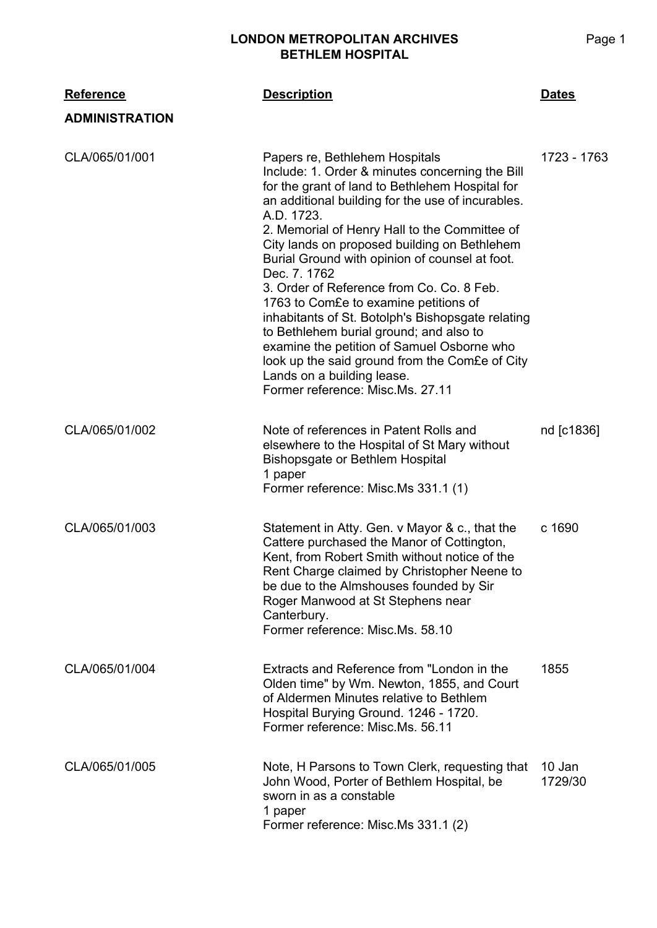## **LONDON METROPOLITAN ARCHIVES BETHLEM HOSPITAL**

| <b>Reference</b>      | <b>Description</b>                                                                                                                                                                                                                                                                                                                                                                                                                                                                                                                                                                                                                                                                                                                 | <u>Dates</u>      |
|-----------------------|------------------------------------------------------------------------------------------------------------------------------------------------------------------------------------------------------------------------------------------------------------------------------------------------------------------------------------------------------------------------------------------------------------------------------------------------------------------------------------------------------------------------------------------------------------------------------------------------------------------------------------------------------------------------------------------------------------------------------------|-------------------|
| <b>ADMINISTRATION</b> |                                                                                                                                                                                                                                                                                                                                                                                                                                                                                                                                                                                                                                                                                                                                    |                   |
| CLA/065/01/001        | Papers re, Bethlehem Hospitals<br>Include: 1. Order & minutes concerning the Bill<br>for the grant of land to Bethlehem Hospital for<br>an additional building for the use of incurables.<br>A.D. 1723.<br>2. Memorial of Henry Hall to the Committee of<br>City lands on proposed building on Bethlehem<br>Burial Ground with opinion of counsel at foot.<br>Dec. 7, 1762<br>3. Order of Reference from Co. Co. 8 Feb.<br>1763 to Com£e to examine petitions of<br>inhabitants of St. Botolph's Bishopsgate relating<br>to Bethlehem burial ground; and also to<br>examine the petition of Samuel Osborne who<br>look up the said ground from the Com£e of City<br>Lands on a building lease.<br>Former reference: Misc.Ms. 27.11 | 1723 - 1763       |
| CLA/065/01/002        | Note of references in Patent Rolls and<br>elsewhere to the Hospital of St Mary without<br><b>Bishopsgate or Bethlem Hospital</b><br>1 paper<br>Former reference: Misc.Ms 331.1 (1)                                                                                                                                                                                                                                                                                                                                                                                                                                                                                                                                                 | nd [c1836]        |
| CLA/065/01/003        | Statement in Atty. Gen. v Mayor & c., that the<br>Cattere purchased the Manor of Cottington,<br>Kent, from Robert Smith without notice of the<br>Rent Charge claimed by Christopher Neene to<br>be due to the Almshouses founded by Sir<br>Roger Manwood at St Stephens near<br>Canterbury.<br>Former reference: Misc.Ms. 58.10                                                                                                                                                                                                                                                                                                                                                                                                    | c 1690            |
| CLA/065/01/004        | Extracts and Reference from "London in the<br>Olden time" by Wm. Newton, 1855, and Court<br>of Aldermen Minutes relative to Bethlem<br>Hospital Burying Ground. 1246 - 1720.<br>Former reference: Misc.Ms. 56.11                                                                                                                                                                                                                                                                                                                                                                                                                                                                                                                   | 1855              |
| CLA/065/01/005        | Note, H Parsons to Town Clerk, requesting that<br>John Wood, Porter of Bethlem Hospital, be<br>sworn in as a constable<br>1 paper<br>Former reference: Misc.Ms 331.1 (2)                                                                                                                                                                                                                                                                                                                                                                                                                                                                                                                                                           | 10 Jan<br>1729/30 |